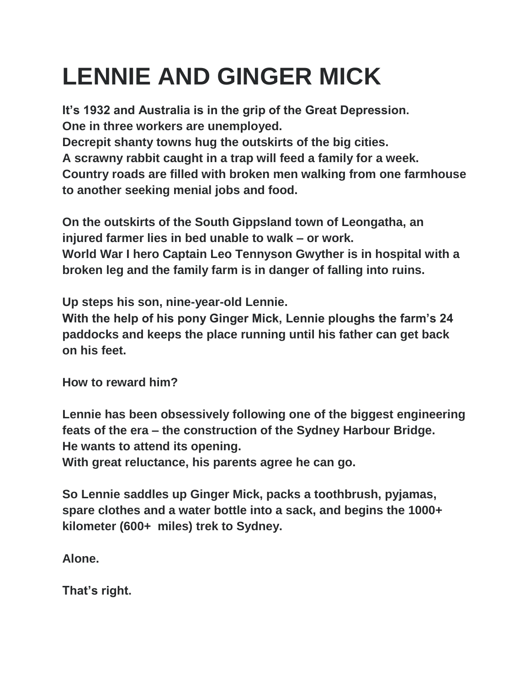## **LENNIE AND GINGER MICK**

**It's 1932 and Australia is in the grip of the Great Depression. One in three workers are unemployed. Decrepit shanty towns hug the outskirts of the big cities. A scrawny rabbit caught in a trap will feed a family for a week. Country roads are filled with broken men walking from one farmhouse to another seeking menial jobs and food.**

**On the outskirts of the South Gippsland town of Leongatha, an injured farmer lies in bed unable to walk – or work. World War I hero Captain Leo Tennyson Gwyther is in hospital with a broken leg and the family farm is in danger of falling into ruins.**

**Up steps his son, nine-year-old Lennie.**

**With the help of his pony Ginger Mick, Lennie ploughs the farm's 24 paddocks and keeps the place running until his father can get back on his feet.**

**How to reward him?**

**Lennie has been obsessively following one of the biggest engineering feats of the era – the construction of the Sydney Harbour Bridge. He wants to attend its opening.**

**With great reluctance, his parents agree he can go.**

**So Lennie saddles up Ginger Mick, packs a toothbrush, pyjamas, spare clothes and a water bottle into a sack, and begins the 1000+ kilometer (600+ miles) trek to Sydney.**

**Alone.**

**That's right.**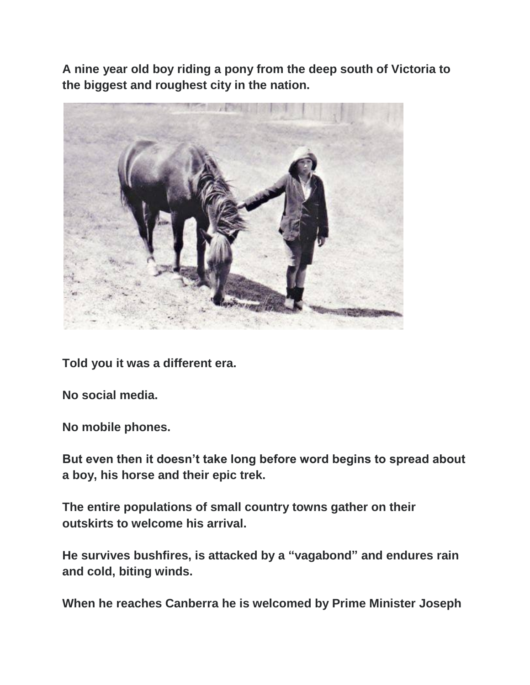**A nine year old boy riding a pony from the deep south of Victoria to the biggest and roughest city in the nation.**



**Told you it was a different era.**

**No social media.**

**No mobile phones.**

**But even then it doesn't take long before word begins to spread about a boy, his horse and their epic trek.**

**The entire populations of small country towns gather on their outskirts to welcome his arrival.**

**He survives bushfires, is attacked by a "vagabond" and endures rain and cold, biting winds.**

**When he reaches Canberra he is welcomed by Prime Minister Joseph**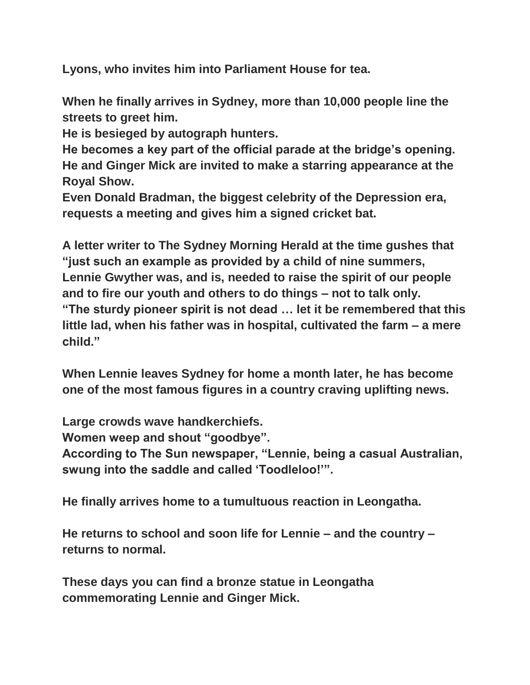**Lyons, who invites him into Parliament House for tea.**

**When he finally arrives in Sydney, more than 10,000 people line the streets to greet him.**

**He is besieged by autograph hunters.**

**He becomes a key part of the official parade at the bridge's opening. He and Ginger Mick are invited to make a starring appearance at the Royal Show.**

**Even Donald Bradman, the biggest celebrity of the Depression era, requests a meeting and gives him a signed cricket bat.**

**A letter writer to The Sydney Morning Herald at the time gushes that "just such an example as provided by a child of nine summers, Lennie Gwyther was, and is, needed to raise the spirit of our people and to fire our youth and others to do things – not to talk only. "The sturdy pioneer spirit is not dead … let it be remembered that this little lad, when his father was in hospital, cultivated the farm – a mere child."**

**When Lennie leaves Sydney for home a month later, he has become one of the most famous figures in a country craving uplifting news.**

**Large crowds wave handkerchiefs.**

**Women weep and shout "goodbye".**

**According to The Sun newspaper, "Lennie, being a casual Australian, swung into the saddle and called 'Toodleloo!'".**

**He finally arrives home to a tumultuous reaction in Leongatha.**

**He returns to school and soon life for Lennie – and the country – returns to normal.**

**These days you can find a bronze statue in Leongatha commemorating Lennie and Ginger Mick.**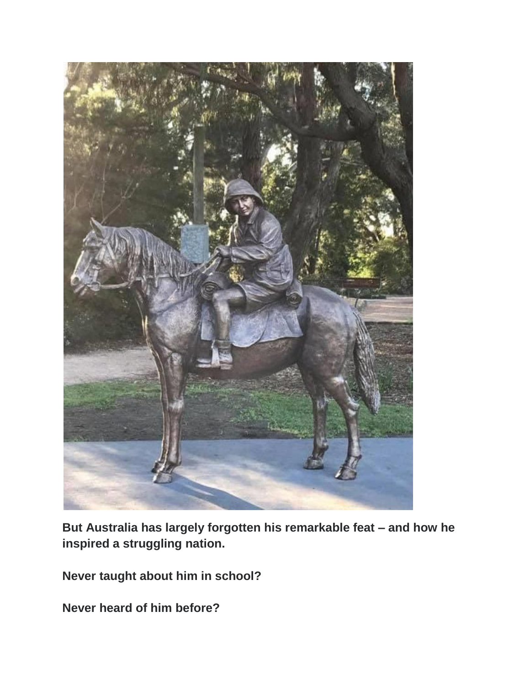

**But Australia has largely forgotten his remarkable feat – and how he inspired a struggling nation.**

**Never taught about him in school?**

**Never heard of him before?**